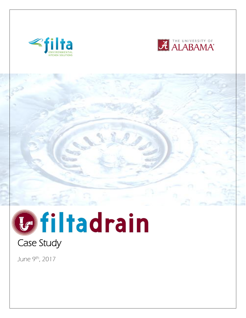







June 9th, 2017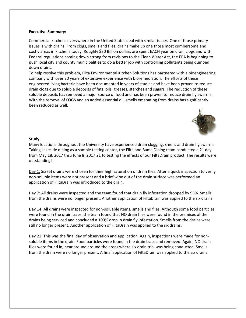### **Executive Summary:**

Commercial kitchens everywhere in the United States deal with similar issues. One of those primary issues is with drains. From clogs, smells and flies, drains make up one those most cumbersome and costly areas in kitchens today. Roughly \$30 Billion dollars are spent EACH year on drain clogs and with Federal regulations coming down strong from revisions to the Clean Water Act, the EPA is beginning to push local city and county municipalities to do a better job with controlling pollutants being dumped down drains.

To help resolve this problem, Filta Environmental Kitchen Solutions has partnered with a bioengineering company with over 20 years of extensive experience with bioremediation. The efforts of these engineered living bacteria have been documented in years of studies and have been proven to reduce drain clogs due to soluble deposits of fats, oils, greases, starches and sugars. The reduction of these soluble deposits has removed a major source of food and has been proven to reduce drain fly swarms. With the removal of FOGS and an added essential oil, smells emanating from drains has significantly been reduced as well.



### **Study:**

Many locations throughout the University have experienced drain clogging, smells and drain fly swarms. Taking Lakeside dining as a sample testing center, the Filta and Bama Dining team conducted a 21 day from May 18, 2017 thru June 8, 2017 21 to testing the effects of our FiltaDrain product. The results were outstanding!

Day 1: Six (6) drains were chosen for their high saturation of drain flies. After a quick inspection to verify non-soluble items were not present and a brief wipe out of the drain surface was performed an application of FiltaDrain was introduced to the drain.

Day 7: All drains were inspected and the team found that drain fly infestation dropped by 95%. Smells from the drains were no longer present. Another application of FiltaDrain was applied to the six drains.

Day 14: All drains were inspected for non-soluable items, smells and flies. Although some food particles were found in the drain traps, the team found that NO drain flies were found in the premises of the drains being serviced and concluded a 100% drop in drain fly infestation. Smells from the drains were still no longer present. Another application of FiltaDrain was applied to the six drains.

Day 21: This was the final day of observation and application. Again, inspections were made for nonsoluble items in the drain. Food particles were found in the drain traps and removed. Again, NO drain flies were found in, near around around the areas where six drain trial was being conducted. Smells from the drain were no longer present. A final application of FiltaDrain was applied to the six drains.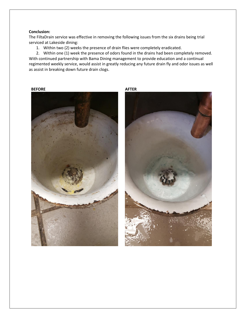### **Conclusion:**

The FiltaDrain service was effective in removing the following issues from the six drains being trial serviced at Lakeside dining:

1. Within two (2) weeks the presence of drain flies were completely eradicated.

2. Within one (1) week the presence of odors found in the drains had been completely removed. With continued partnership with Bama Dining management to provide education and a continual regimented weekly service, would assist in greatly reducing any future drain fly and odor issues as well as assist in breaking down future drain clogs.

**BEFORE AFTER**

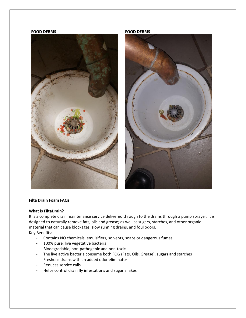### **FOOD DEBRIS FOOD DEBRIS**





#### **Filta Drain Foam FAQs**

#### **What is FiltaDrain?**

It is a complete drain maintenance service delivered through to the drains through a pump sprayer. It is designed to naturally remove fats, oils and grease; as well as sugars, starches, and other organic material that can cause blockages, slow running drains, and foul odors. Key Benefits:

- Contains NO chemicals, emulsifiers, solvents, soaps or dangerous fumes
- 100% pure, live vegetative bacteria
- Biodegradable, non-pathogenic and non-toxic
- The live active bacteria consume both FOG (Fats, Oils, Grease), sugars and starches
- Freshens drains with an added odor eliminator
- Reduces service calls
- Helps control drain fly infestations and sugar snakes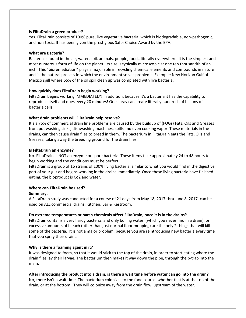### **Is FiltaDrain a green product?**

Yes. FiltaDrain consists of 100% pure, live vegetative bacteria, which is biodegradable, non-pathogenic, and non-toxic. It has been given the prestigious Safer Choice Award by the EPA.

### **What are Bacteria?**

Bacteria is found in the air, water, soil, animals, people, food…literally everywhere. It is the simplest and most numerous form of life on the planet. Its size is typically microscopic at one ten thousandth of an inch. This "bioremediation" plays a major role in recycling chemical elements and compounds in nature and is the natural process in which the environment solves problems. Example: New Horizon Gulf of Mexico spill where 65% of the oil spill clean up was completed with live bacteria.

### **How quickly does FiltaDrain begin working?**

FiltaDrain begins working IMMEDIATELY! In addition, because it's a bacteria it has the capability to reproduce itself and does every 20 minutes! One spray can create literally hundreds of billions of bacteria cells.

## **What drain problems will FiltaDrain help resolve?**

It's a 75% of commercial drain line problems are caused by the buildup of (FOGs) Fats, Oils and Greases from pot washing sinks, dishwashing machines, spills and even cooking vapor. These materials in the drains, can then cause drain flies to breed in them. The bacterium in FiltaDrain eats the Fats, Oils and Greases, taking away the breeding ground for the drain flies.

### **Is FiltaDrain an enzyme?**

No. FiltaDrain is NOT an enzyme or spore bacteria. These items take approximately 24 to 48 hours to begin working and the conditions must be perfect.

FiltaDrain is a group of 16 strains of 100% living bacteria, similar to what you would find in the digestive part of your gut and begins working in the drains immediately. Once these living bacteria have finished eating, the bioproduct is Co2 and water.

## **Where can FiltaDrain be used?**

### **Summary:**

A FiltaDrain study was conducted for a course of 21 days from May 18, 2017 thru June 8, 2017. can be used on ALL commercial drains: Kitchen, Bar & Restroom.

## **Do extreme temperatures or harsh chemicals affect FiltaDrain, once it is in the drains?**

FiltaDrain contains a very hardy bacteria, and only boiling water, (which you never find in a drain), or excessive amounts of bleach (other than just normal floor mopping) are the only 2 things that will kill some of the bacteria. It is not a major problem, because you are reintroducing new bacteria every time that you spray their drains.

## **Why is there a foaming agent in it?**

It was designed to foam, so that it would stick to the top of the drain, in order to start eating where the drain flies lay their larvae. The bacterium then makes it way down the pipe, through the p-trap into the main.

## **After introducing the product into a drain, is there a wait time before water can go into the drain?**

No, there isn't a wait time. The bacterium colonizes to the food source, whether that is at the top of the drain, or at the bottom. They will colonize away from the drain flow, upstream of the water.